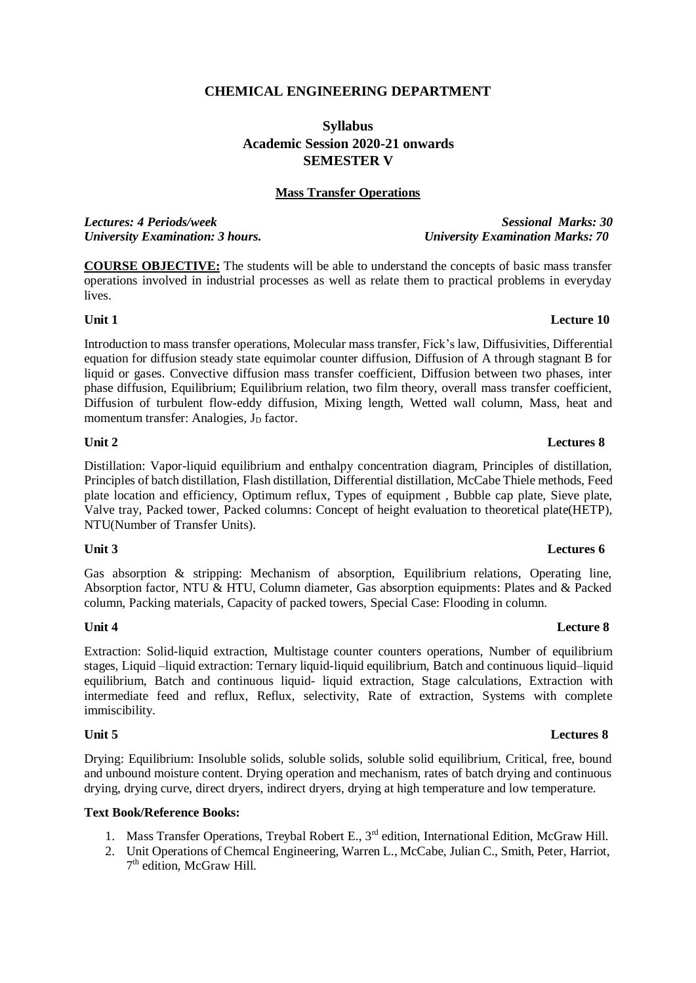### **CHEMICAL ENGINEERING DEPARTMENT**

# **Syllabus Academic Session 2020-21 onwards SEMESTER V**

### **Mass Transfer Operations**

*Lectures: 4 Periods/week Sessional Marks: 30 University Examination: 3 hours. University Examination Marks: 70*

**COURSE OBJECTIVE:** The students will be able to understand the concepts of basic mass transfer operations involved in industrial processes as well as relate them to practical problems in everyday lives.

### **Unit 1 Lecture 10**

Introduction to mass transfer operations, Molecular mass transfer, Fick's law, Diffusivities, Differential equation for diffusion steady state equimolar counter diffusion, Diffusion of A through stagnant B for liquid or gases. Convective diffusion mass transfer coefficient, Diffusion between two phases, inter phase diffusion, Equilibrium; Equilibrium relation, two film theory, overall mass transfer coefficient, Diffusion of turbulent flow-eddy diffusion, Mixing length, Wetted wall column, Mass, heat and momentum transfer: Analogies,  $J_D$  factor.

### **Unit 2 Lectures 8**

Distillation: Vapor-liquid equilibrium and enthalpy concentration diagram, Principles of distillation, Principles of batch distillation, Flash distillation, Differential distillation, McCabe Thiele methods, Feed plate location and efficiency, Optimum reflux, Types of equipment , Bubble cap plate, Sieve plate, Valve tray, Packed tower, Packed columns: Concept of height evaluation to theoretical plate(HETP), NTU(Number of Transfer Units).

Gas absorption & stripping: Mechanism of absorption, Equilibrium relations, Operating line, Absorption factor, NTU & HTU, Column diameter, Gas absorption equipments: Plates and & Packed column, Packing materials, Capacity of packed towers, Special Case: Flooding in column.

### **Unit 4 Lecture 8**

Extraction: Solid-liquid extraction, Multistage counter counters operations, Number of equilibrium stages, Liquid –liquid extraction: Ternary liquid-liquid equilibrium, Batch and continuous liquid–liquid equilibrium, Batch and continuous liquid- liquid extraction, Stage calculations, Extraction with intermediate feed and reflux, Reflux, selectivity, Rate of extraction, Systems with complete immiscibility.

Drying: Equilibrium: Insoluble solids, soluble solids, soluble solid equilibrium, Critical, free, bound and unbound moisture content. Drying operation and mechanism, rates of batch drying and continuous drying, drying curve, direct dryers, indirect dryers, drying at high temperature and low temperature.

### **Text Book/Reference Books:**

- 1. Mass Transfer Operations, Treybal Robert E., 3rd edition, International Edition, McGraw Hill.
- 2. Unit Operations of Chemcal Engineering, Warren L., McCabe, Julian C., Smith, Peter, Harriot, 7<sup>th</sup> edition, McGraw Hill.

## **Unit 5 Lectures 8**

# **Unit 3 Lectures 6**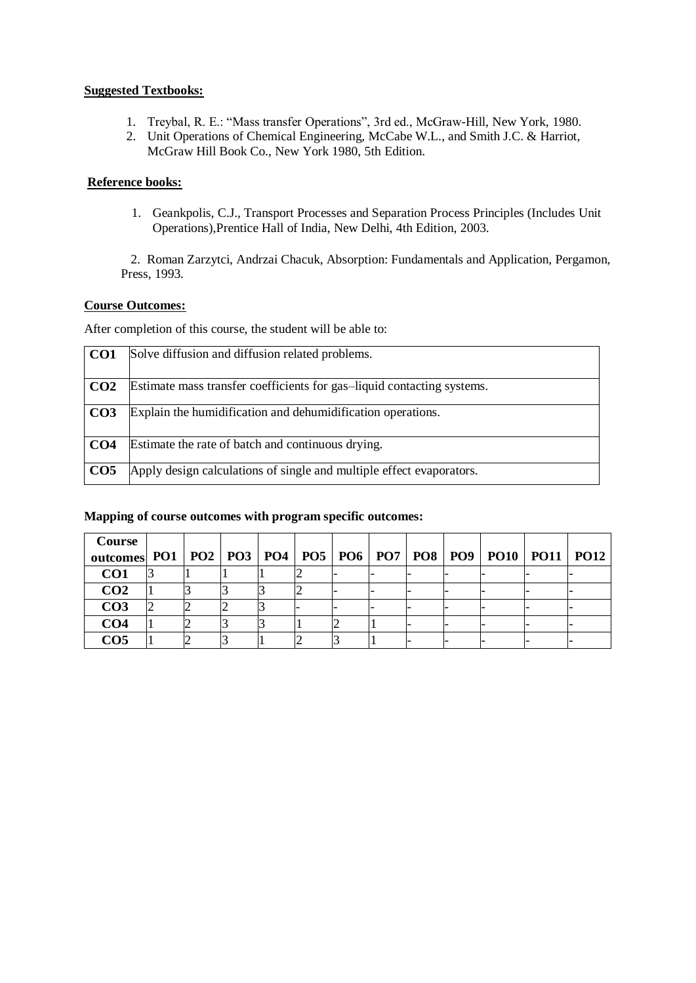### **Suggested Textbooks:**

- 1. Treybal, R. E.: "Mass transfer Operations", 3rd ed., McGraw-Hill, New York, 1980.
- 2. Unit Operations of Chemical Engineering, McCabe W.L., and Smith J.C. & Harriot, McGraw Hill Book Co., New York 1980, 5th Edition.

### **Reference books:**

1. Geankpolis, C.J., Transport Processes and Separation Process Principles (Includes Unit Operations),Prentice Hall of India, New Delhi, 4th Edition, 2003.

2. Roman Zarzytci, Andrzai Chacuk, Absorption: Fundamentals and Application, Pergamon, Press, 1993.

### **Course Outcomes:**

After completion of this course, the student will be able to:

| CO <sub>1</sub> | Solve diffusion and diffusion related problems.                        |
|-----------------|------------------------------------------------------------------------|
| CO <sub>2</sub> | Estimate mass transfer coefficients for gas-liquid contacting systems. |
| CO <sub>3</sub> | Explain the humidification and dehumidification operations.            |
| CO <sub>4</sub> | Estimate the rate of batch and continuous drying.                      |
| CO <sub>5</sub> | Apply design calculations of single and multiple effect evaporators.   |

### **Mapping of course outcomes with program specific outcomes:**

| Course                                                                            |  |  |   |  |  |  |  |
|-----------------------------------------------------------------------------------|--|--|---|--|--|--|--|
| outcomes PO1   PO2   PO3   PO4   PO5   PO6   PO7   PO8   PO9   PO10   PO11   PO12 |  |  |   |  |  |  |  |
| CO <sub>1</sub>                                                                   |  |  | ∠ |  |  |  |  |
| CO <sub>2</sub>                                                                   |  |  | - |  |  |  |  |
| CO <sub>3</sub>                                                                   |  |  |   |  |  |  |  |
| CO <sub>4</sub>                                                                   |  |  |   |  |  |  |  |
| CO <sub>5</sub>                                                                   |  |  | ∼ |  |  |  |  |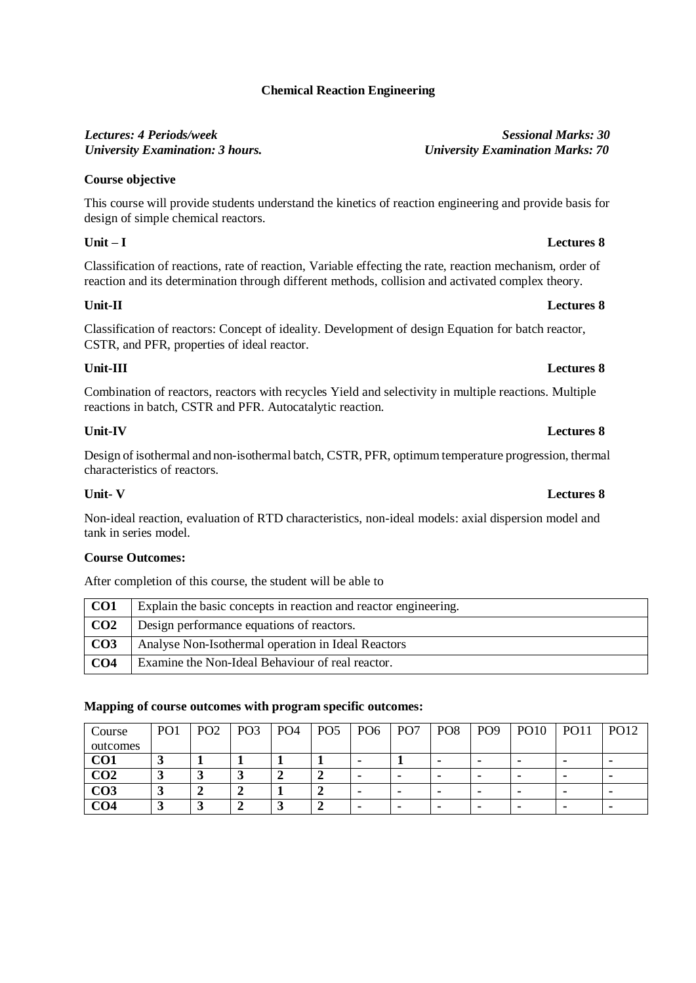# **Chemical Reaction Engineering**

# *Lectures: 4 Periods/week Sessional Marks: 30*

# **Course objective**

This course will provide students understand the kinetics of reaction engineering and provide basis for design of simple chemical reactors.

### **Unit – I Lectures 8**

Classification of reactions, rate of reaction, Variable effecting the rate, reaction mechanism, order of reaction and its determination through different methods, collision and activated complex theory.

### **Unit-II Lectures 8**

Classification of reactors: Concept of ideality. Development of design Equation for batch reactor, CSTR, and PFR, properties of ideal reactor.

### **Unit-III Lectures 8**

Combination of reactors, reactors with recycles Yield and selectivity in multiple reactions. Multiple reactions in batch, CSTR and PFR. Autocatalytic reaction.

### **Unit-IV Lectures 8**

Design of isothermal and non-isothermal batch, CSTR, PFR, optimum temperature progression, thermal characteristics of reactors.

Non-ideal reaction, evaluation of RTD characteristics, non-ideal models: axial dispersion model and tank in series model.

### **Course Outcomes:**

After completion of this course, the student will be able to

| CO <sub>1</sub> | Explain the basic concepts in reaction and reactor engineering. |
|-----------------|-----------------------------------------------------------------|
| CO <sub>2</sub> | Design performance equations of reactors.                       |
| CO <sub>3</sub> | Analyse Non-Isothermal operation in Ideal Reactors              |
| CO <sub>4</sub> | Examine the Non-Ideal Behaviour of real reactor.                |

### **Mapping of course outcomes with program specific outcomes:**

| Course          | PO <sub>1</sub> | PO <sub>2</sub> | PO <sub>3</sub> | PO <sub>4</sub> | PO <sub>5</sub> | PO <sub>6</sub> | PO <sub>7</sub> | PO <sub>8</sub> | PO <sub>9</sub> | <b>PO10</b> | <b>PO11</b>    | PO12 |
|-----------------|-----------------|-----------------|-----------------|-----------------|-----------------|-----------------|-----------------|-----------------|-----------------|-------------|----------------|------|
| outcomes        |                 |                 |                 |                 |                 |                 |                 |                 |                 |             |                |      |
| CO1             |                 |                 |                 |                 |                 | ۰               |                 | -               |                 |             |                |      |
| CO <sub>2</sub> |                 |                 | رے              |                 |                 |                 |                 | -               |                 |             |                |      |
| CO <sub>3</sub> | ~               |                 |                 |                 |                 | ۰               |                 | -               |                 |             | $\blacksquare$ |      |
| CO4             |                 |                 |                 |                 |                 |                 |                 |                 |                 |             |                |      |

# *University Examination: 3 hours. University Examination Marks: 70*

### **Unit- V Lectures 8**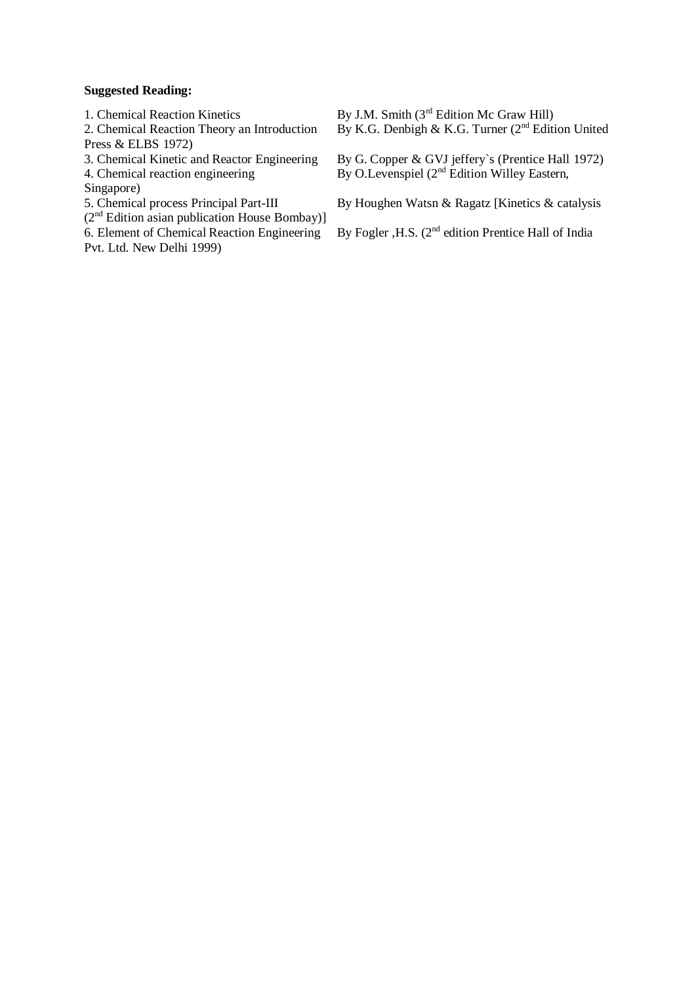### **Suggested Reading:**

Press & ELBS 1972)<br>3. Chemical Kinetic and Reactor Engineering

Singapore)

5. Chemical process Principal Part-III<br>( $2<sup>nd</sup>$  Edition asian publication House Bombay)]<br>6. Element of Chemical Reaction Engineering Pvt. Ltd. New Delhi 1999)

1. Chemical Reaction Kinetics By J.M. Smith (3<sup>rd</sup> Edition Mc Graw Hill) 2. Chemical Reaction Theory an Introduction By K.G. Denbigh & K.G. Turner ( $2<sup>nd</sup>$  Edition United

3. Chemical Kinetic and Reactor Engineering By G. Copper & GVJ jeffery's (Prentice Hall 1972) 4. Chemical reaction engineering By O.Levenspiel (2<sup>nd</sup> Edition Willey Eastern,

By Houghen Watsn & Ragatz [Kinetics & catalysis

By Fogler , H.S.  $(2<sup>nd</sup>$  edition Prentice Hall of India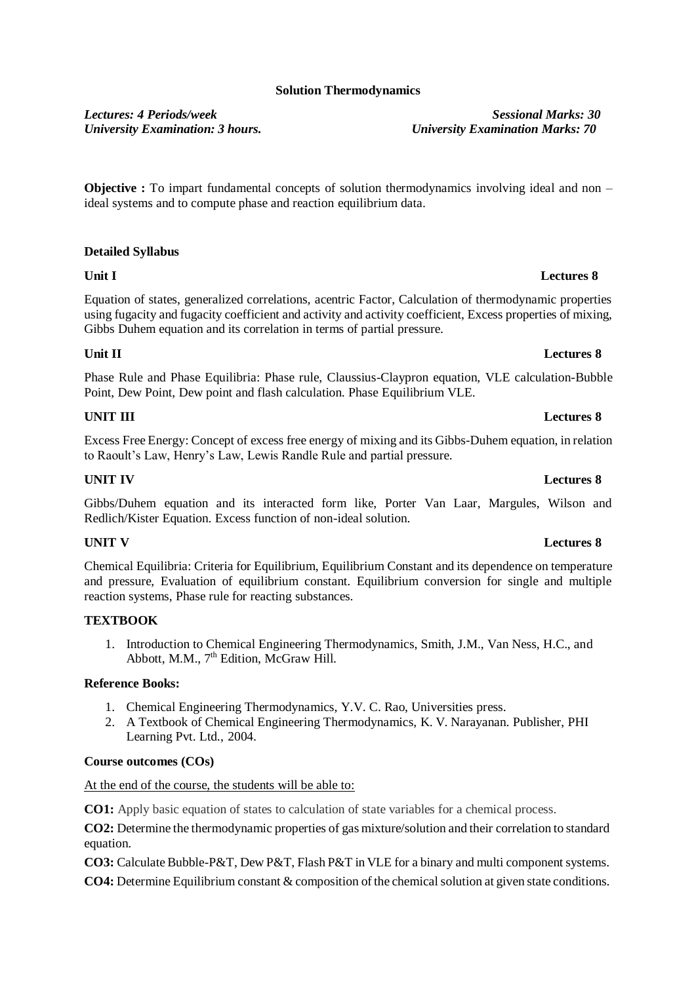### **Solution Thermodynamics**

*Lectures: 4 Periods/week Sessional Marks: 30 University Examination: 3 hours. University Examination Marks: 70*

**Objective :** To impart fundamental concepts of solution thermodynamics involving ideal and non – ideal systems and to compute phase and reaction equilibrium data.

### **Detailed Syllabus**

Equation of states, generalized correlations, acentric Factor, Calculation of thermodynamic properties using fugacity and fugacity coefficient and activity and activity coefficient, Excess properties of mixing, Gibbs Duhem equation and its correlation in terms of partial pressure.

### **Unit II Lectures 8**

Phase Rule and Phase Equilibria: Phase rule, Claussius-Claypron equation, VLE calculation-Bubble Point, Dew Point, Dew point and flash calculation. Phase Equilibrium VLE.

### **UNIT III Lectures 8**

Excess Free Energy: Concept of excess free energy of mixing and its Gibbs-Duhem equation, in relation to Raoult's Law, Henry's Law, Lewis Randle Rule and partial pressure.

### **UNIT IV Lectures 8**

Gibbs/Duhem equation and its interacted form like, Porter Van Laar, Margules, Wilson and Redlich/Kister Equation. Excess function of non-ideal solution.

Chemical Equilibria: Criteria for Equilibrium, Equilibrium Constant and its dependence on temperature and pressure, Evaluation of equilibrium constant. Equilibrium conversion for single and multiple reaction systems, Phase rule for reacting substances.

### **TEXTBOOK**

1. Introduction to Chemical Engineering Thermodynamics, Smith, J.M., Van Ness, H.C., and Abbott, M.M., 7<sup>th</sup> Edition, McGraw Hill.

### **Reference Books:**

- 1. Chemical Engineering Thermodynamics, Y.V. C. Rao, Universities press.
- 2. A Textbook of Chemical Engineering Thermodynamics, K. V. Narayanan. Publisher, PHI Learning Pvt. Ltd., 2004.

### **Course outcomes (COs)**

At the end of the course, the students will be able to:

**CO1:** Apply basic equation of states to calculation of state variables for a chemical process.

**CO2:** Determine the thermodynamic properties of gas mixture/solution and their correlation to standard equation.

**CO3:** Calculate Bubble-P&T, Dew P&T, Flash P&T in VLE for a binary and multi component systems.

**CO4:** Determine Equilibrium constant & composition of the chemicalsolution at given state conditions.

## **UNIT V Lectures 8**

# **Unit I Lectures 8**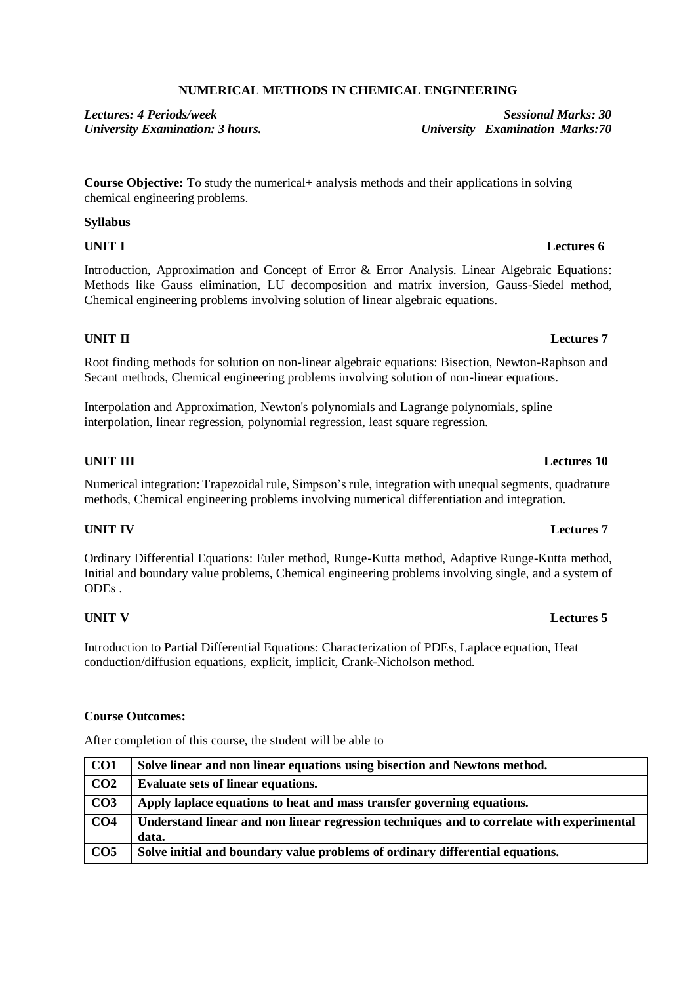# **NUMERICAL METHODS IN CHEMICAL ENGINEERING**

*Lectures: 4 Periods/week Sessional Marks: 30 University Examination: 3 hours. University Examination Marks:70*

**Course Objective:** To study the numerical+ analysis methods and their applications in solving chemical engineering problems.

### **Syllabus**

Introduction, Approximation and Concept of Error & Error Analysis. Linear Algebraic Equations: Methods like Gauss elimination, LU decomposition and matrix inversion, Gauss-Siedel method, Chemical engineering problems involving solution of linear algebraic equations.

### **UNIT II Lectures 7**

Root finding methods for solution on non-linear algebraic equations: Bisection, Newton-Raphson and Secant methods, Chemical engineering problems involving solution of non-linear equations.

Interpolation and Approximation, Newton's polynomials and Lagrange polynomials, spline interpolation, linear regression, polynomial regression, least square regression.

### **UNIT III Lectures 10**

Numerical integration: Trapezoidal rule, Simpson's rule, integration with unequalsegments, quadrature methods, Chemical engineering problems involving numerical differentiation and integration.

Ordinary Differential Equations: Euler method, Runge-Kutta method, Adaptive Runge-Kutta method, Initial and boundary value problems, Chemical engineering problems involving single, and a system of ODEs .

### **UNIT V Lectures 5**

Introduction to Partial Differential Equations: Characterization of PDEs, Laplace equation, Heat conduction/diffusion equations, explicit, implicit, Crank-Nicholson method.

### **Course Outcomes:**

After completion of this course, the student will be able to

| $\overline{\mathrm{CO1}}$ | Solve linear and non linear equations using bisection and Newtons method.                 |
|---------------------------|-------------------------------------------------------------------------------------------|
| CO <sub>2</sub>           | <b>Evaluate sets of linear equations.</b>                                                 |
| $\overline{CO3}$          | Apply laplace equations to heat and mass transfer governing equations.                    |
| CO <sub>4</sub>           | Understand linear and non linear regression techniques and to correlate with experimental |
|                           | data.                                                                                     |
| $\overline{CO5}$          | Solve initial and boundary value problems of ordinary differential equations.             |

### **UNIT IV Lectures 7**

### **UNIT I Lectures 6**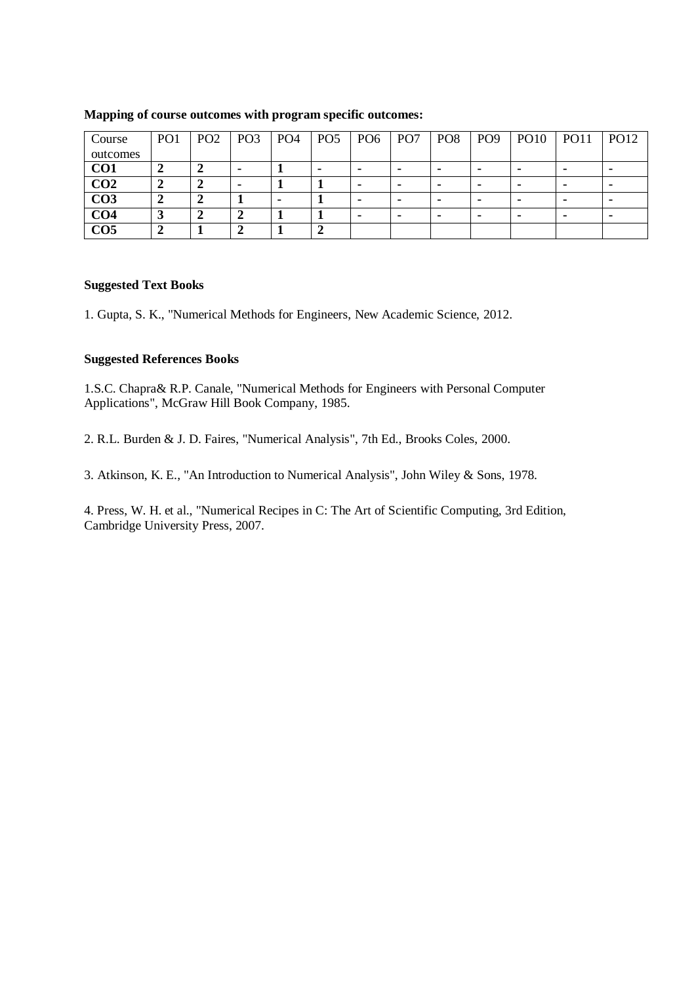| Course          | PO <sub>1</sub> | PO <sub>2</sub> | PO <sub>3</sub> | PO <sub>4</sub> | PO <sub>5</sub> | PO <sub>6</sub> | PO <sub>7</sub> | PO <sub>8</sub> | PO <sub>9</sub> | <b>PO10</b> | <b>PO11</b> | PO12 |
|-----------------|-----------------|-----------------|-----------------|-----------------|-----------------|-----------------|-----------------|-----------------|-----------------|-------------|-------------|------|
| outcomes        |                 |                 |                 |                 |                 |                 |                 |                 |                 |             |             |      |
| CO <sub>1</sub> |                 |                 |                 |                 |                 | ۰               |                 |                 |                 |             |             |      |
| CO <sub>2</sub> |                 |                 |                 |                 |                 |                 |                 | -               | -               |             |             | ٠    |
| CO <sub>3</sub> |                 |                 |                 |                 |                 |                 |                 | -               |                 |             |             |      |
| CO <sub>4</sub> | J.,             |                 |                 |                 |                 |                 |                 |                 |                 |             |             | ٠    |
| CO <sub>5</sub> |                 |                 |                 |                 |                 |                 |                 |                 |                 |             |             |      |

### **Mapping of course outcomes with program specific outcomes:**

### **Suggested Text Books**

1. Gupta, S. K., "Numerical Methods for Engineers, New Academic Science, 2012.

### **Suggested References Books**

1.S.C. Chapra& R.P. Canale, "Numerical Methods for Engineers with Personal Computer Applications", McGraw Hill Book Company, 1985.

2. R.L. Burden & J. D. Faires, "Numerical Analysis", 7th Ed., Brooks Coles, 2000.

3. Atkinson, K. E., "An Introduction to Numerical Analysis", John Wiley & Sons, 1978.

4. Press, W. H. et al., "Numerical Recipes in C: The Art of Scientific Computing, 3rd Edition, Cambridge University Press, 2007.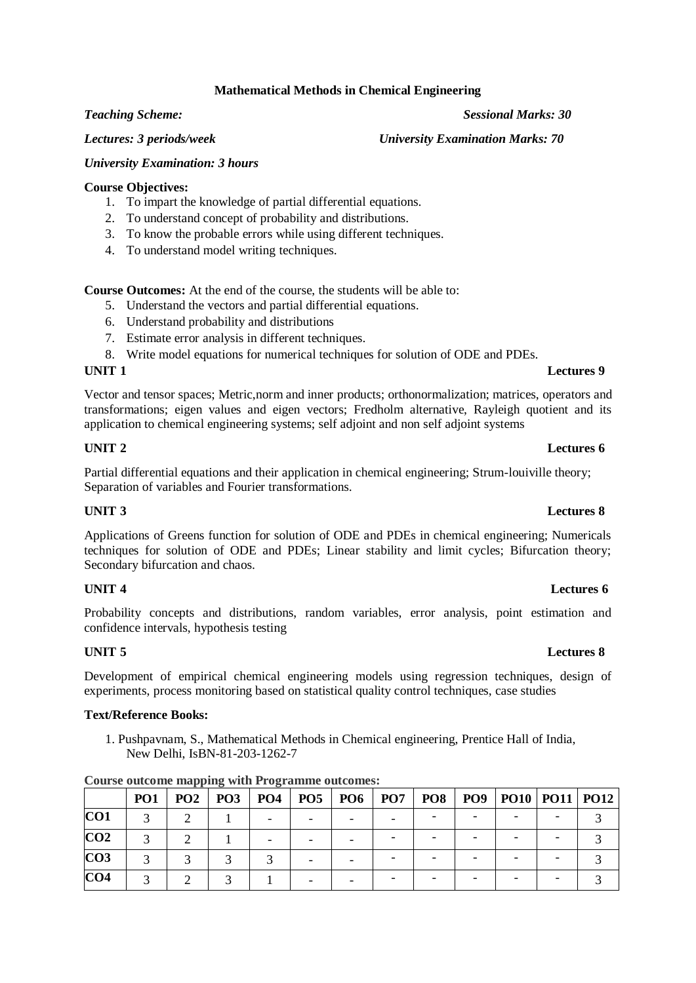### **Mathematical Methods in Chemical Engineering**

*Teaching Scheme: Sessional Marks: 30*

*Lectures: 3 periods/week University Examination Marks: 70* 

### *University Examination: 3 hours*

### **Course Objectives:**

- 1. To impart the knowledge of partial differential equations.
- 2. To understand concept of probability and distributions.
- 3. To know the probable errors while using different techniques.
- 4. To understand model writing techniques.

**Course Outcomes:** At the end of the course, the students will be able to:

- 5. Understand the vectors and partial differential equations.
- 6. Understand probability and distributions
- 7. Estimate error analysis in different techniques.
- 8. Write model equations for numerical techniques for solution of ODE and PDEs.

### **UNIT 1 Lectures 9**

Vector and tensor spaces; Metric,norm and inner products; orthonormalization; matrices, operators and transformations; eigen values and eigen vectors; Fredholm alternative, Rayleigh quotient and its application to chemical engineering systems; self adjoint and non self adjoint systems

### **UNIT 2 Lectures 6**

Partial differential equations and their application in chemical engineering; Strum-louiville theory; Separation of variables and Fourier transformations.

### **UNIT 3 Lectures 8**

Applications of Greens function for solution of ODE and PDEs in chemical engineering; Numericals techniques for solution of ODE and PDEs; Linear stability and limit cycles; Bifurcation theory; Secondary bifurcation and chaos.

Probability concepts and distributions, random variables, error analysis, point estimation and confidence intervals, hypothesis testing

Development of empirical chemical engineering models using regression techniques, design of experiments, process monitoring based on statistical quality control techniques, case studies

### **Text/Reference Books:**

1. Pushpavnam, S., Mathematical Methods in Chemical engineering, Prentice Hall of India, New Delhi, IsBN-81-203-1262-7

|                 | <b>PO1</b> | PO2 | <b>PO3</b> |  | PO4   PO5   PO6   PO7 | <b>PO8</b> | PO9   PO10   PO11   PO12 |  |
|-----------------|------------|-----|------------|--|-----------------------|------------|--------------------------|--|
| CO1             |            |     |            |  |                       |            |                          |  |
| CO <sub>2</sub> |            |     |            |  |                       |            |                          |  |
| CO <sub>3</sub> |            |     |            |  |                       |            |                          |  |
| CO <sub>4</sub> |            |     |            |  |                       |            |                          |  |

**Course outcome mapping with Programme outcomes:**

### **UNIT 4 Lectures 6**

### **UNIT 5 Lectures 8**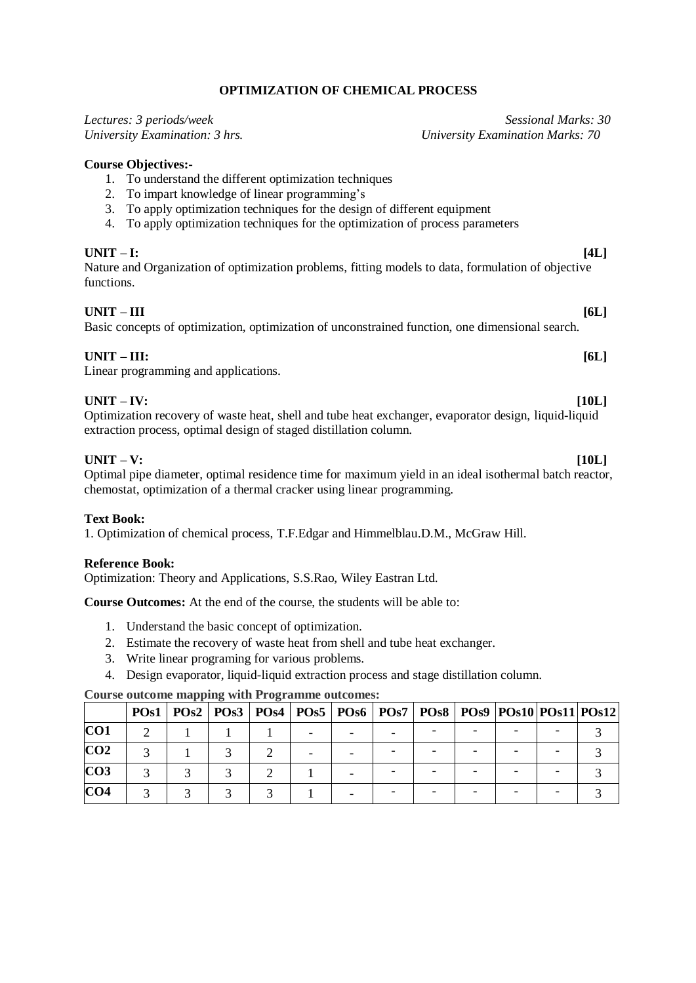## **OPTIMIZATION OF CHEMICAL PROCESS**

| Lectures: 3 periods/week                                                                                                                                                                                                                                                                                       | Sessional Marks: 30                     |
|----------------------------------------------------------------------------------------------------------------------------------------------------------------------------------------------------------------------------------------------------------------------------------------------------------------|-----------------------------------------|
| University Examination: 3 hrs.                                                                                                                                                                                                                                                                                 | <b>University Examination Marks: 70</b> |
| <b>Course Objectives:-</b><br>1. To understand the different optimization techniques<br>To impart knowledge of linear programming's<br>2.<br>To apply optimization techniques for the design of different equipment<br>3.<br>To apply optimization techniques for the optimization of process parameters<br>4. |                                         |
| $UNIT - I:$<br>Nature and Organization of optimization problems, fitting models to data, formulation of objective<br>functions.                                                                                                                                                                                | [4L]                                    |
| $UNIT - III$<br>Basic concepts of optimization, optimization of unconstrained function, one dimensional search.                                                                                                                                                                                                | [6L]                                    |
| $UNIT - III:$<br>Linear programming and applications.                                                                                                                                                                                                                                                          | [6L]                                    |
| $UNIT - IV:$<br>Optimization recovery of waste heat, shell and tube heat exchanger, evaporator design, liquid-liquid<br>extraction process, optimal design of staged distillation column.                                                                                                                      | [10L]                                   |
| $UNIT - V:$<br>Optimal pipe diameter, optimal residence time for maximum yield in an ideal isothermal batch reactor,<br>chemostat, optimization of a thermal cracker using linear programming.                                                                                                                 | [10L]                                   |

### **Text Book:**

1. Optimization of chemical process, T.F.Edgar and Himmelblau.D.M., McGraw Hill.

### **Reference Book:**

Optimization: Theory and Applications, S.S.Rao, Wiley Eastran Ltd.

**Course Outcomes:** At the end of the course, the students will be able to:

- 1. Understand the basic concept of optimization.
- 2. Estimate the recovery of waste heat from shell and tube heat exchanger.
- 3. Write linear programing for various problems.
- 4. Design evaporator, liquid-liquid extraction process and stage distillation column.

### **Course outcome mapping with Programme outcomes:**

|                 | PO <sub>s1</sub> |  |  |  |  | POs2   POs3   POs4   POs5   POs6   POs7   POs8   POs9   POs10   POs11   POs12 |  |
|-----------------|------------------|--|--|--|--|-------------------------------------------------------------------------------|--|
| CO <sub>1</sub> |                  |  |  |  |  |                                                                               |  |
| CO <sub>2</sub> |                  |  |  |  |  |                                                                               |  |
| CO <sub>3</sub> |                  |  |  |  |  |                                                                               |  |
| CO <sub>4</sub> |                  |  |  |  |  |                                                                               |  |

### **Course Objectives:-**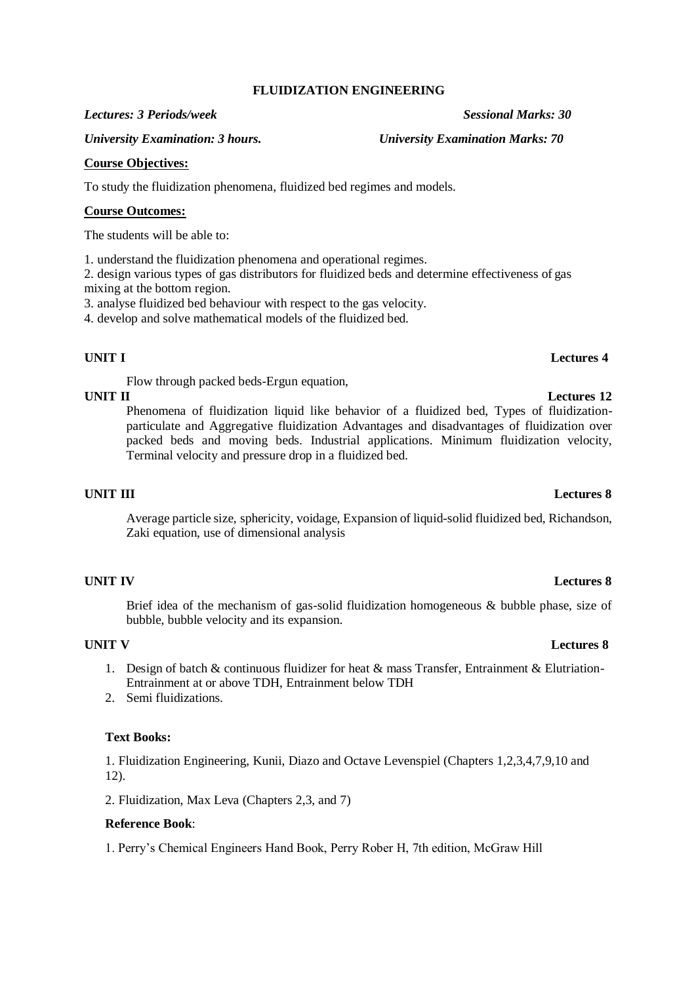### **FLUIDIZATION ENGINEERING**

### *Lectures: 3 Periods/week Sessional Marks: 30*

*University Examination: 3 hours. University Examination Marks: 70*

### **Course Objectives:**

To study the fluidization phenomena, fluidized bed regimes and models.

### **Course Outcomes:**

The students will be able to:

1. understand the fluidization phenomena and operational regimes.

2. design various types of gas distributors for fluidized beds and determine effectiveness of gas mixing at the bottom region.

3. analyse fluidized bed behaviour with respect to the gas velocity.

4. develop and solve mathematical models of the fluidized bed.

### **UNIT I Lectures 4**

Flow through packed beds-Ergun equation,

Phenomena of fluidization liquid like behavior of a fluidized bed, Types of fluidizationparticulate and Aggregative fluidization Advantages and disadvantages of fluidization over packed beds and moving beds. Industrial applications. Minimum fluidization velocity, Terminal velocity and pressure drop in a fluidized bed.

### **UNIT III Lectures 8**

Average particle size, sphericity, voidage, Expansion of liquid-solid fluidized bed, Richandson, Zaki equation, use of dimensional analysis

Brief idea of the mechanism of gas-solid fluidization homogeneous & bubble phase, size of bubble, bubble velocity and its expansion.

- 1. Design of batch & continuous fluidizer for heat & mass Transfer, Entrainment & Elutriation-Entrainment at or above TDH, Entrainment below TDH
- 2. Semi fluidizations.

### **Text Books:**

1. Fluidization Engineering, Kunii, Diazo and Octave Levenspiel (Chapters 1,2,3,4,7,9,10 and 12).

2. Fluidization, Max Leva (Chapters 2,3, and 7)

### **Reference Book**:

1. Perry's Chemical Engineers Hand Book, Perry Rober H, 7th edition, McGraw Hill

### **UNIT IV Lectures 8**

### **UNIT V Lectures 8**

# **UNIT II Lectures 12**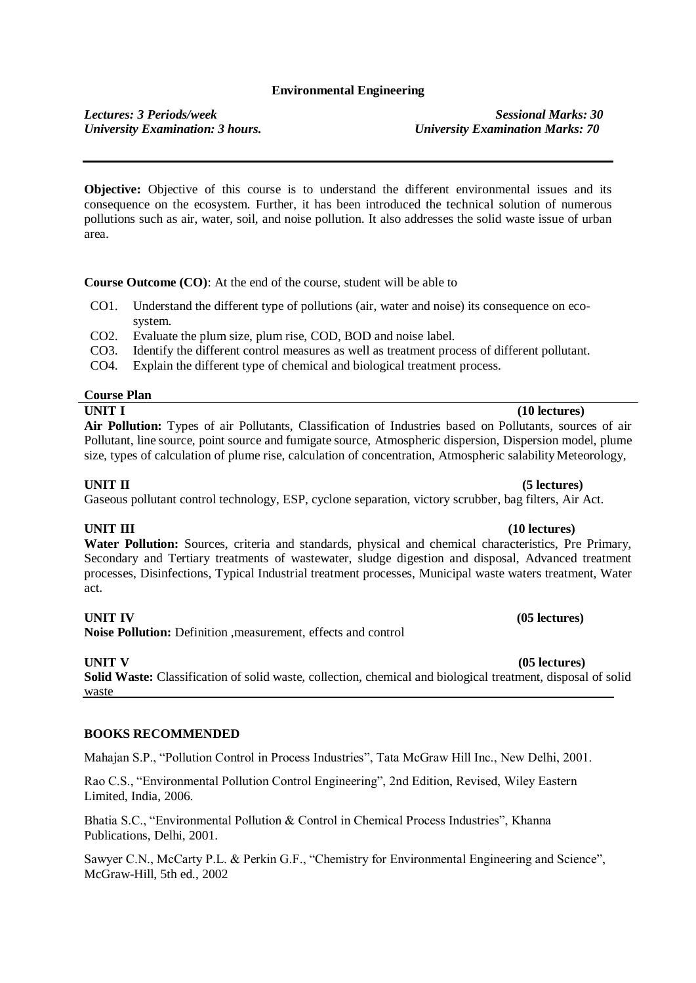### **Environmental Engineering**

*Lectures: 3 Periods/week Sessional Marks: 30 University Examination: 3 hours. University Examination Marks: 70*

**Objective:** Objective of this course is to understand the different environmental issues and its consequence on the ecosystem. Further, it has been introduced the technical solution of numerous pollutions such as air, water, soil, and noise pollution. It also addresses the solid waste issue of urban area.

**Course Outcome (CO)**: At the end of the course, student will be able to

- CO1. Understand the different type of pollutions (air, water and noise) its consequence on ecosystem.
- CO2. Evaluate the plum size, plum rise, COD, BOD and noise label.
- CO3. Identify the different control measures as well as treatment process of different pollutant.
- CO4. Explain the different type of chemical and biological treatment process.

### **Course Plan**

### **UNIT I (10 lectures)**

**Air Pollution:** Types of air Pollutants, Classification of Industries based on Pollutants, sources of air Pollutant, line source, point source and fumigate source, Atmospheric dispersion, Dispersion model, plume size, types of calculation of plume rise, calculation of concentration, Atmospheric salability Meteorology,

Gaseous pollutant control technology, ESP, cyclone separation, victory scrubber, bag filters, Air Act.

**Water Pollution:** Sources, criteria and standards, physical and chemical characteristics, Pre Primary, Secondary and Tertiary treatments of wastewater, sludge digestion and disposal, Advanced treatment processes, Disinfections, Typical Industrial treatment processes, Municipal waste waters treatment, Water act.

**Noise Pollution:** Definition ,measurement, effects and control

**Solid Waste:** Classification of solid waste, collection, chemical and biological treatment, disposal of solid waste

### **BOOKS RECOMMENDED**

Mahajan S.P., "Pollution Control in Process Industries", Tata McGraw Hill Inc., New Delhi, 2001.

Rao C.S., "Environmental Pollution Control Engineering", 2nd Edition, Revised, Wiley Eastern Limited, India, 2006.

Bhatia S.C., "Environmental Pollution & Control in Chemical Process Industries", Khanna Publications, Delhi, 2001.

Sawyer C.N., McCarty P.L. & Perkin G.F., "Chemistry for Environmental Engineering and Science", McGraw-Hill, 5th ed., 2002

# **UNIT III (10** lectures)

### **UNIT IV (05 lectures)**

### **UNIT V (05 lectures)**

### **UNIT II (5 lectures)**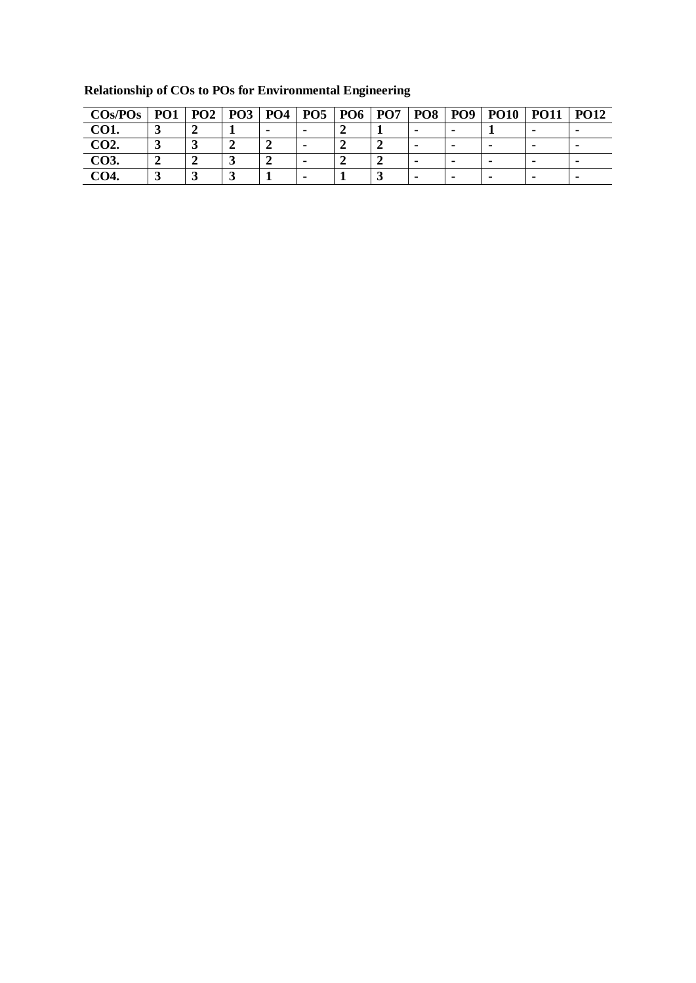| $\cos$ /POs | PO <sub>1</sub> | PO2 |  | PO3   PO4   PO5   PO6 | <b>PO7</b> | PO <sub>8</sub> | <b>PO9</b> | <b>PO10</b> | <b>PO11</b> | <b>PO12</b> |
|-------------|-----------------|-----|--|-----------------------|------------|-----------------|------------|-------------|-------------|-------------|
| CO1.        |                 |     |  |                       |            |                 |            |             |             |             |
| CO2.        |                 |     |  |                       |            |                 |            |             |             |             |
| CO3.        |                 |     |  |                       |            |                 |            |             |             |             |
| <b>CO4.</b> |                 |     |  |                       |            |                 |            | ۰           | -           |             |

**Relationship of COs to POs for Environmental Engineering**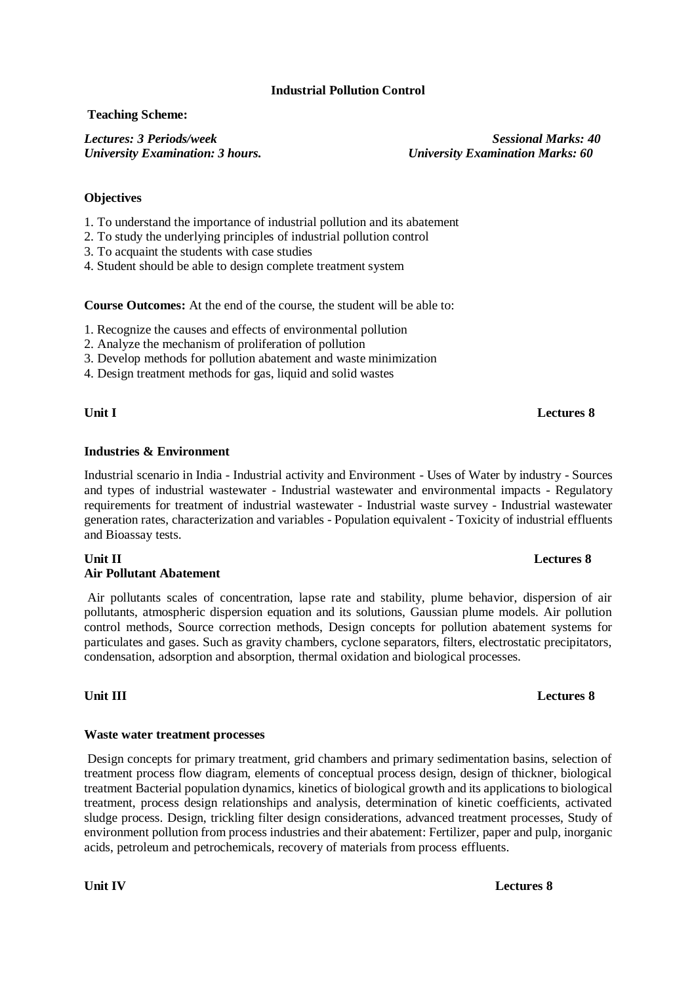### **Industrial Pollution Control**

### **Teaching Scheme:**

*Lectures: 3 Periods/week Sessional Marks: 40 University Examination: 3 hours. University Examination Marks: 60*

### **Objectives**

- 1. To understand the importance of industrial pollution and its abatement
- 2. To study the underlying principles of industrial pollution control
- 3. To acquaint the students with case studies
- 4. Student should be able to design complete treatment system

**Course Outcomes:** At the end of the course, the student will be able to:

- 1. Recognize the causes and effects of environmental pollution
- 2. Analyze the mechanism of proliferation of pollution
- 3. Develop methods for pollution abatement and waste minimization
- 4. Design treatment methods for gas, liquid and solid wastes

### **Unit I Lectures 8**

### **Industries & Environment**

Industrial scenario in India - Industrial activity and Environment - Uses of Water by industry - Sources and types of industrial wastewater - Industrial wastewater and environmental impacts - Regulatory requirements for treatment of industrial wastewater - Industrial waste survey - Industrial wastewater generation rates, characterization and variables - Population equivalent - Toxicity of industrial effluents and Bioassay tests.

### **Unit II Lectures 8 Air Pollutant Abatement**

Air pollutants scales of concentration, lapse rate and stability, plume behavior, dispersion of air pollutants, atmospheric dispersion equation and its solutions, Gaussian plume models. Air pollution control methods, Source correction methods, Design concepts for pollution abatement systems for particulates and gases. Such as gravity chambers, cyclone separators, filters, electrostatic precipitators, condensation, adsorption and absorption, thermal oxidation and biological processes.

### **Waste water treatment processes**

Design concepts for primary treatment, grid chambers and primary sedimentation basins, selection of treatment process flow diagram, elements of conceptual process design, design of thickner, biological treatment Bacterial population dynamics, kinetics of biological growth and its applications to biological treatment, process design relationships and analysis, determination of kinetic coefficients, activated sludge process. Design, trickling filter design considerations, advanced treatment processes, Study of environment pollution from process industries and their abatement: Fertilizer, paper and pulp, inorganic acids, petroleum and petrochemicals, recovery of materials from process effluents.

### **Unit III Lectures 8**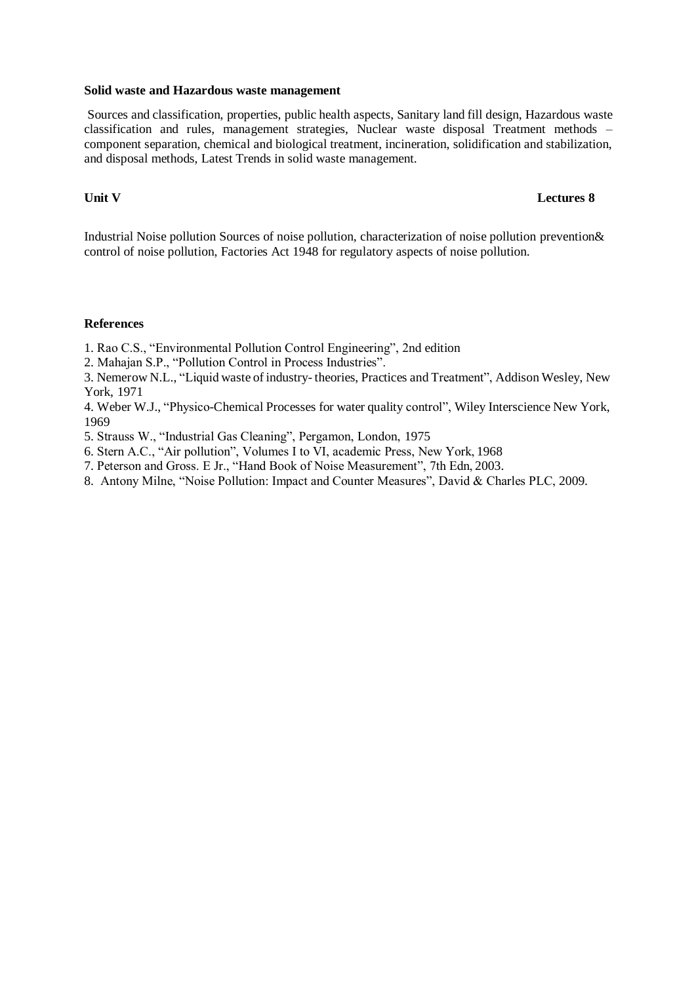### **Solid waste and Hazardous waste management**

Sources and classification, properties, public health aspects, Sanitary land fill design, Hazardous waste classification and rules, management strategies, Nuclear waste disposal Treatment methods – component separation, chemical and biological treatment, incineration, solidification and stabilization, and disposal methods, Latest Trends in solid waste management.

### **Unit V Lectures 8**

Industrial Noise pollution Sources of noise pollution, characterization of noise pollution prevention& control of noise pollution, Factories Act 1948 for regulatory aspects of noise pollution.

### **References**

1. Rao C.S., "Environmental Pollution Control Engineering", 2nd edition

2. Mahajan S.P., "Pollution Control in Process Industries".

3. Nemerow N.L., "Liquid waste of industry- theories, Practices and Treatment", Addison Wesley, New York, 1971

4. Weber W.J., "Physico-Chemical Processes for water quality control", Wiley Interscience New York, 1969

5. Strauss W., "Industrial Gas Cleaning", Pergamon, London, 1975

- 6. Stern A.C., "Air pollution", Volumes I to VI, academic Press, New York, 1968
- 7. Peterson and Gross. E Jr., "Hand Book of Noise Measurement", 7th Edn, 2003.
- 8. Antony Milne, "Noise Pollution: Impact and Counter Measures", David & Charles PLC, 2009.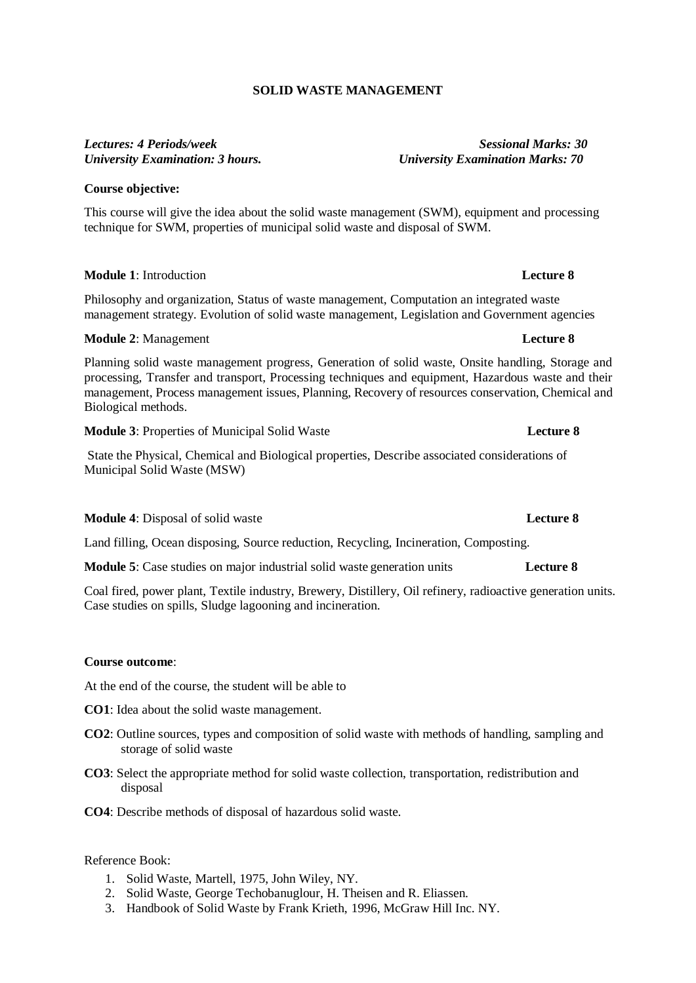## **SOLID WASTE MANAGEMENT**

# *Lectures: 4 Periods/week Sessional Marks: 30*

### **Course objective:**

This course will give the idea about the solid waste management (SWM), equipment and processing technique for SWM, properties of municipal solid waste and disposal of SWM.

### **Module 1**: Introduction **Lecture 8**

Philosophy and organization, Status of waste management, Computation an integrated waste management strategy. Evolution of solid waste management, Legislation and Government agencies

### **Module** 2: Management **Lecture 8**

Planning solid waste management progress, Generation of solid waste, Onsite handling, Storage and processing, Transfer and transport, Processing techniques and equipment, Hazardous waste and their management, Process management issues, Planning, Recovery of resources conservation, Chemical and Biological methods.

**Module 3**: Properties of Municipal Solid Waste **Lecture 8**

State the Physical, Chemical and Biological properties, Describe associated considerations of Municipal Solid Waste (MSW)

**Module 4**: Disposal of solid waste **Lecture 8**

Land filling, Ocean disposing, Source reduction, Recycling, Incineration, Composting.

**Module 5**: Case studies on major industrial solid waste generation units **Lecture 8**

Coal fired, power plant, Textile industry, Brewery, Distillery, Oil refinery, radioactive generation units. Case studies on spills, Sludge lagooning and incineration.

### **Course outcome**:

At the end of the course, the student will be able to

- **CO1**: Idea about the solid waste management.
- **CO2**: Outline sources, types and composition of solid waste with methods of handling, sampling and storage of solid waste
- **CO3**: Select the appropriate method for solid waste collection, transportation, redistribution and disposal
- **CO4**: Describe methods of disposal of hazardous solid waste.

### Reference Book:

- 1. Solid Waste, Martell, 1975, John Wiley, NY.
- 2. Solid Waste, George Techobanuglour, H. Theisen and R. Eliassen.
- 3. Handbook of Solid Waste by Frank Krieth, 1996, McGraw Hill Inc. NY.

# *University Examination: 3 hours. University Examination Marks: 70*